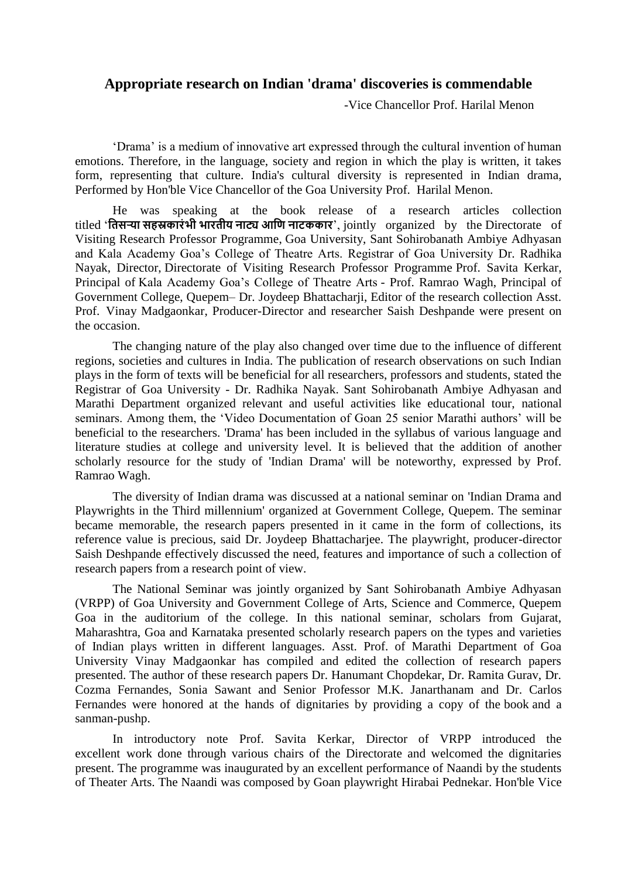## **Appropriate research on Indian 'drama' discoveries is commendable**

-Vice Chancellor Prof. Harilal Menon

'Drama' is a medium of innovative art expressed through the cultural invention of human emotions. Therefore, in the language, society and region in which the play is written, it takes form, representing that culture. India's cultural diversity is represented in Indian drama, Performed by Hon'ble Vice Chancellor of the Goa University Prof. Harilal Menon.

He was speaking at the book release of a research articles collection titled '**तिसऱ्या सहस्रकारंभी भारिीय नाट्य आति नाटककार**', jointly organized by the Directorate of Visiting Research Professor Programme, Goa University, Sant Sohirobanath Ambiye Adhyasan and Kala Academy Goa's College of Theatre Arts. Registrar of Goa University Dr. Radhika Nayak, Director, Directorate of Visiting Research Professor Programme Prof. Savita Kerkar, Principal of Kala Academy Goa's College of Theatre Arts - Prof. Ramrao Wagh, Principal of Government College, Quepem– Dr. Joydeep Bhattacharji, Editor of the research collection Asst. Prof. Vinay Madgaonkar, Producer-Director and researcher Saish Deshpande were present on the occasion.

The changing nature of the play also changed over time due to the influence of different regions, societies and cultures in India. The publication of research observations on such Indian plays in the form of texts will be beneficial for all researchers, professors and students, stated the Registrar of Goa University - Dr. Radhika Nayak. Sant Sohirobanath Ambiye Adhyasan and Marathi Department organized relevant and useful activities like educational tour, national seminars. Among them, the 'Video Documentation of Goan 25 senior Marathi authors' will be beneficial to the researchers. 'Drama' has been included in the syllabus of various language and literature studies at college and university level. It is believed that the addition of another scholarly resource for the study of 'Indian Drama' will be noteworthy, expressed by Prof. Ramrao Wagh.

The diversity of Indian drama was discussed at a national seminar on 'Indian Drama and Playwrights in the Third millennium' organized at Government College, Quepem. The seminar became memorable, the research papers presented in it came in the form of collections, its reference value is precious, said Dr. Joydeep Bhattacharjee. The playwright, producer-director Saish Deshpande effectively discussed the need, features and importance of such a collection of research papers from a research point of view.

The National Seminar was jointly organized by Sant Sohirobanath Ambiye Adhyasan (VRPP) of Goa University and Government College of Arts, Science and Commerce, Quepem Goa in the auditorium of the college. In this national seminar, scholars from Gujarat, Maharashtra, Goa and Karnataka presented scholarly research papers on the types and varieties of Indian plays written in different languages. Asst. Prof. of Marathi Department of Goa University Vinay Madgaonkar has compiled and edited the collection of research papers presented. The author of these research papers Dr. Hanumant Chopdekar, Dr. Ramita Gurav, Dr. Cozma Fernandes, Sonia Sawant and Senior Professor M.K. Janarthanam and Dr. Carlos Fernandes were honored at the hands of dignitaries by providing a copy of the book and a sanman-pushp.

In introductory note Prof. Savita Kerkar, Director of VRPP introduced the excellent work done through various chairs of the Directorate and welcomed the dignitaries present. The programme was inaugurated by an excellent performance of Naandi by the students of Theater Arts. The Naandi was composed by Goan playwright Hirabai Pednekar. Hon'ble Vice